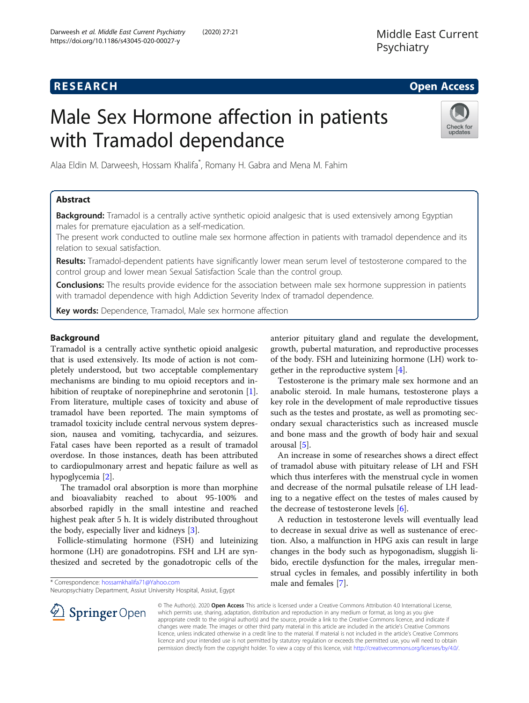# **RESEARCH CHE Open Access**

# Male Sex Hormone affection in patients with Tramadol dependance



Alaa Eldin M. Darweesh, Hossam Khalifa\* , Romany H. Gabra and Mena M. Fahim

## Abstract

Background: Tramadol is a centrally active synthetic opioid analgesic that is used extensively among Egyptian males for premature ejaculation as a self-medication.

The present work conducted to outline male sex hormone affection in patients with tramadol dependence and its relation to sexual satisfaction.

Results: Tramadol-dependent patients have significantly lower mean serum level of testosterone compared to the control group and lower mean Sexual Satisfaction Scale than the control group.

**Conclusions:** The results provide evidence for the association between male sex hormone suppression in patients with tramadol dependence with high Addiction Severity Index of tramadol dependence.

**Key words:** Dependence, Tramadol, Male sex hormone affection

### Background

Tramadol is a centrally active synthetic opioid analgesic that is used extensively. Its mode of action is not completely understood, but two acceptable complementary mechanisms are binding to mu opioid receptors and inhibition of reuptake of norepinephrine and serotonin [\[1](#page-4-0)]. From literature, multiple cases of toxicity and abuse of tramadol have been reported. The main symptoms of tramadol toxicity include central nervous system depression, nausea and vomiting, tachycardia, and seizures. Fatal cases have been reported as a result of tramadol overdose. In those instances, death has been attributed to cardiopulmonary arrest and hepatic failure as well as hypoglycemia [\[2](#page-4-0)].

The tramadol oral absorption is more than morphine and bioavaliabity reached to about 95-100% and absorbed rapidly in the small intestine and reached highest peak after 5 h. It is widely distributed throughout the body, especially liver and kidneys [\[3](#page-4-0)].

Follicle-stimulating hormone (FSH) and luteinizing hormone (LH) are gonadotropins. FSH and LH are synthesized and secreted by the gonadotropic cells of the

\* Correspondence: [hossamkhalifa71@Yahoo.com](mailto:hossamkhalifa71@Yahoo.com)

Neuropsychiatry Department, Assiut University Hospital, Assiut, Egypt

anterior pituitary gland and regulate the development, growth, pubertal maturation, and reproductive processes of the body. FSH and luteinizing hormone (LH) work together in the reproductive system [\[4](#page-4-0)].

Testosterone is the primary male sex hormone and an anabolic steroid. In male humans, testosterone plays a key role in the development of male reproductive tissues such as the testes and prostate, as well as promoting secondary sexual characteristics such as increased muscle and bone mass and the growth of body hair and sexual arousal [\[5\]](#page-4-0).

An increase in some of researches shows a direct effect of tramadol abuse with pituitary release of LH and FSH which thus interferes with the menstrual cycle in women and decrease of the normal pulsatile release of LH leading to a negative effect on the testes of males caused by the decrease of testosterone levels [[6\]](#page-4-0).

A reduction in testosterone levels will eventually lead to decrease in sexual drive as well as sustenance of erection. Also, a malfunction in HPG axis can result in large changes in the body such as hypogonadism, sluggish libido, erectile dysfunction for the males, irregular menstrual cycles in females, and possibly infertility in both male and females [[7\]](#page-4-0).



© The Author(s). 2020 Open Access This article is licensed under a Creative Commons Attribution 4.0 International License, which permits use, sharing, adaptation, distribution and reproduction in any medium or format, as long as you give appropriate credit to the original author(s) and the source, provide a link to the Creative Commons licence, and indicate if changes were made. The images or other third party material in this article are included in the article's Creative Commons licence, unless indicated otherwise in a credit line to the material. If material is not included in the article's Creative Commons licence and your intended use is not permitted by statutory regulation or exceeds the permitted use, you will need to obtain permission directly from the copyright holder. To view a copy of this licence, visit <http://creativecommons.org/licenses/by/4.0/>.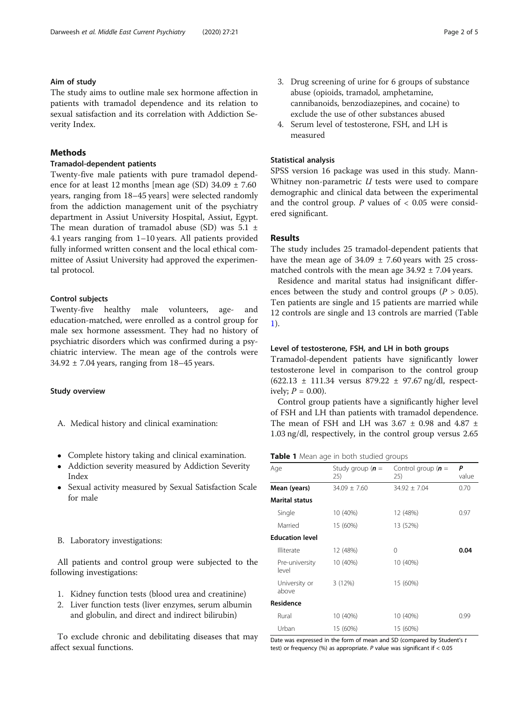#### Aim of study

The study aims to outline male sex hormone affection in patients with tramadol dependence and its relation to sexual satisfaction and its correlation with Addiction Severity Index.

#### **Methods**

### Tramadol-dependent patients

Twenty-five male patients with pure tramadol dependence for at least 12 months [mean age (SD)  $34.09 \pm 7.60$ years, ranging from 18–45 years] were selected randomly from the addiction management unit of the psychiatry department in Assiut University Hospital, Assiut, Egypt. The mean duration of tramadol abuse (SD) was  $5.1 \pm$ 4.1 years ranging from 1–10 years. All patients provided fully informed written consent and the local ethical committee of Assiut University had approved the experimental protocol.

#### Control subjects

Twenty-five healthy male volunteers, age- and education-matched, were enrolled as a control group for male sex hormone assessment. They had no history of psychiatric disorders which was confirmed during a psychiatric interview. The mean age of the controls were  $34.92 \pm 7.04$  years, ranging from  $18-45$  years.

#### Study overview

- A. Medical history and clinical examination:
- Complete history taking and clinical examination.
- Addiction severity measured by Addiction Severity Index
- Sexual activity measured by Sexual Satisfaction Scale for male

#### B. Laboratory investigations:

All patients and control group were subjected to the following investigations:

- 1. Kidney function tests (blood urea and creatinine)
- 2. Liver function tests (liver enzymes, serum albumin and globulin, and direct and indirect bilirubin)

To exclude chronic and debilitating diseases that may affect sexual functions.

- 3. Drug screening of urine for 6 groups of substance abuse (opioids, tramadol, amphetamine, cannibanoids, benzodiazepines, and cocaine) to exclude the use of other substances abused
- 4. Serum level of testosterone, FSH, and LH is measured

#### Statistical analysis

SPSS version 16 package was used in this study. Mann-Whitney non-parametric  $U$  tests were used to compare demographic and clinical data between the experimental and the control group.  $P$  values of  $< 0.05$  were considered significant.

#### Results

The study includes 25 tramadol-dependent patients that have the mean age of  $34.09 \pm 7.60$  years with 25 crossmatched controls with the mean age  $34.92 \pm 7.04$  years.

Residence and marital status had insignificant differences between the study and control groups ( $P > 0.05$ ). Ten patients are single and 15 patients are married while 12 controls are single and 13 controls are married (Table 1).

#### Level of testosterone, FSH, and LH in both groups

Tramadol-dependent patients have significantly lower testosterone level in comparison to the control group (622.13 ± 111.34 versus 879.22 ± 97.67 ng/dl, respectively;  $P = 0.00$ ).

Control group patients have a significantly higher level of FSH and LH than patients with tramadol dependence. The mean of FSH and LH was  $3.67 \pm 0.98$  and  $4.87 \pm 0.98$ 1.03 ng/dl, respectively, in the control group versus 2.65

#### Table 1 Mean age in both studied groups

| Age                     | Study group $(n =$ | Control group $(n =$ | P     |  |
|-------------------------|--------------------|----------------------|-------|--|
|                         | 25)                | 25)                  | value |  |
| Mean (years)            | $34.09 \pm 7.60$   | $34.92 \pm 7.04$     | 0.70  |  |
| <b>Marital status</b>   |                    |                      |       |  |
| Single                  | 10 (40%)           | 12 (48%)             | 0.97  |  |
| Married                 | 15 (60%)           | 13 (52%)             |       |  |
| <b>Education level</b>  |                    |                      |       |  |
| Illiterate              | 12 (48%)           | 0                    | 0.04  |  |
| Pre-university<br>level | 10 (40%)           | 10 (40%)             |       |  |
| University or<br>above  | 3(12%)             | 15 (60%)             |       |  |
| <b>Residence</b>        |                    |                      |       |  |
| Rural                   | 10 (40%)           | 10 (40%)             | 0.99  |  |
| Urban                   | 15 (60%)           | 15 (60%)             |       |  |

Date was expressed in the form of mean and SD (compared by Student's t test) or frequency (%) as appropriate. P value was significant if < 0.05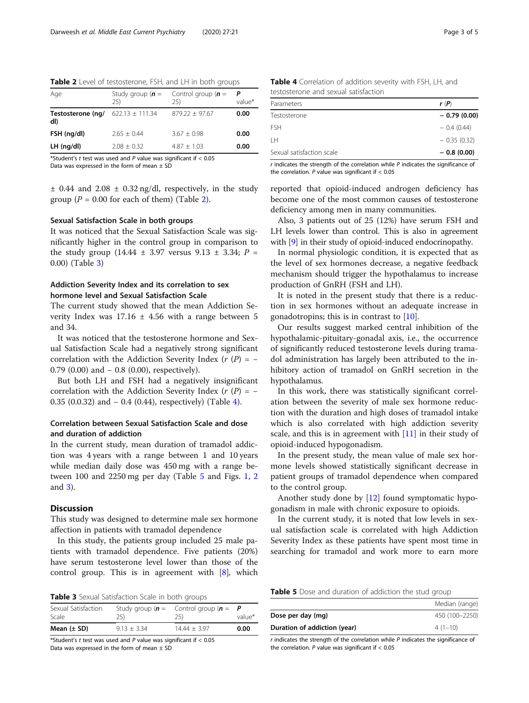Table 2 Level of testosterone, FSH, and LH in both groups

| Age                      | Study group ( $n =$<br>25) | Control group $(n =$<br>25) | value* |
|--------------------------|----------------------------|-----------------------------|--------|
| Testosterone (ng/<br>dI) | $622.13 \pm 111.34$        | $879.22 + 97.67$            | 0.00   |
| FSH (ng/dl)              | $2.65 + 0.44$              | $3.67 + 0.98$               | 0.00   |
| $LH$ (ng/dl)             | $2.08 + 0.32$              | $4.87 + 1.03$               | 0.00   |

\*Student's t test was used and  $P$  value was significant if  $< 0.05$ 

Data was expressed in the form of mean  $\pm$  SD

 $\pm$  0.44 and 2.08  $\pm$  0.32 ng/dl, respectively, in the study group ( $P = 0.00$  for each of them) (Table 2).

#### Sexual Satisfaction Scale in both groups

It was noticed that the Sexual Satisfaction Scale was significantly higher in the control group in comparison to the study group (14.44  $\pm$  3.97 versus 9.13  $\pm$  3.34; P = 0.00) (Table 3)

#### Addiction Severity Index and its correlation to sex hormone level and Sexual Satisfaction Scale

The current study showed that the mean Addiction Severity Index was  $17.16 \pm 4.56$  with a range between 5 and 34.

It was noticed that the testosterone hormone and Sexual Satisfaction Scale had a negatively strong significant correlation with the Addiction Severity Index ( $r(P) = -$ 0.79  $(0.00)$  and  $-$  0.8  $(0.00)$ , respectively).

But both LH and FSH had a negatively insignificant correlation with the Addiction Severity Index ( $r(P) = -$ 0.35 (0.0.32) and − 0.4 (0.44), respectively) (Table 4).

#### Correlation between Sexual Satisfaction Scale and dose and duration of addiction

In the current study, mean duration of tramadol addiction was 4 years with a range between 1 and 10 years while median daily dose was 450 mg with a range between 100 and 2250 mg per day (Table 5 and Figs. [1,](#page-3-0) [2](#page-3-0) and [3\)](#page-3-0).

#### **Discussion**

This study was designed to determine male sex hormone affection in patients with tramadol dependence

In this study, the patients group included 25 male patients with tramadol dependence. Five patients (20%) have serum testosterone level lower than those of the control group. This is in agreement with [[8\]](#page-4-0), which

|  |  | Table 3 Sexual Satisfaction Scale in both groups |  |  |  |  |
|--|--|--------------------------------------------------|--|--|--|--|
|--|--|--------------------------------------------------|--|--|--|--|

| Sexual Satisfaction<br>Scale | 25)           | Study group ( $n =$ Control group ( $n =$<br>25) | value* |
|------------------------------|---------------|--------------------------------------------------|--------|
| Mean $(\pm$ SD)              | $9.13 + 3.34$ | $14.44 + 3.97$                                   | 0.00   |

\*Student's t test was used and P value was significant if  $< 0.05$ Data was expressed in the form of mean  $\pm$  SD

| <b>Table 4</b> Correlation of addition severity with FSH, LH, and |  |  |
|-------------------------------------------------------------------|--|--|
| testosterone and sexual satisfaction                              |  |  |

| Parameters                | r(P)          |
|---------------------------|---------------|
| Testosterone              | $-0.79(0.00)$ |
| <b>FSH</b>                | $-0.4(0.44)$  |
| IН                        | $-0.35(0.32)$ |
| Sexual satisfaction scale | $-0.8(0.00)$  |

 $r$  indicates the strength of the correlation while  $P$  indicates the significance of the correlation.  $P$  value was significant if  $< 0.05$ 

reported that opioid-induced androgen deficiency has become one of the most common causes of testosterone deficiency among men in many communities.

Also, 3 patients out of 25 (12%) have serum FSH and LH levels lower than control. This is also in agreement with [\[9\]](#page-4-0) in their study of opioid-induced endocrinopathy.

In normal physiologic condition, it is expected that as the level of sex hormones decrease, a negative feedback mechanism should trigger the hypothalamus to increase production of GnRH (FSH and LH).

It is noted in the present study that there is a reduction in sex hormones without an adequate increase in gonadotropins; this is in contrast to [\[10\]](#page-4-0).

Our results suggest marked central inhibition of the hypothalamic-pituitary-gonadal axis, i.e., the occurrence of significantly reduced testosterone levels during tramadol administration has largely been attributed to the inhibitory action of tramadol on GnRH secretion in the hypothalamus.

In this work, there was statistically significant correlation between the severity of male sex hormone reduction with the duration and high doses of tramadol intake which is also correlated with high addiction severity scale, and this is in agreement with [\[11](#page-4-0)] in their study of opioid-induced hypogonadism.

In the present study, the mean value of male sex hormone levels showed statistically significant decrease in patient groups of tramadol dependence when compared to the control group.

Another study done by [\[12](#page-4-0)] found symptomatic hypogonadism in male with chronic exposure to opioids.

In the current study, it is noted that low levels in sexual satisfaction scale is correlated with high Addiction Severity Index as these patients have spent most time in searching for tramadol and work more to earn more

Table 5 Dose and duration of addiction the stud group

|                              | Median (range) |
|------------------------------|----------------|
| Dose per day (mg)            | 450 (100-2250) |
| Duration of addiction (year) | $4(1-10)$      |

 $r$  indicates the strength of the correlation while  $P$  indicates the significance of the correlation. P value was significant if  $< 0.05$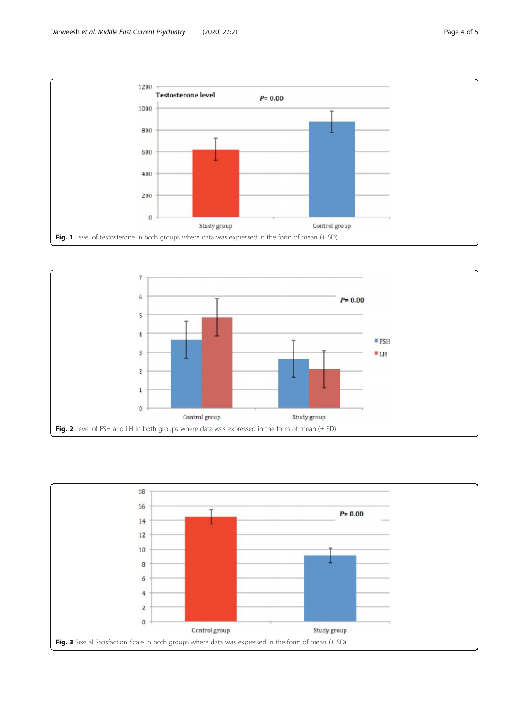<span id="page-3-0"></span>